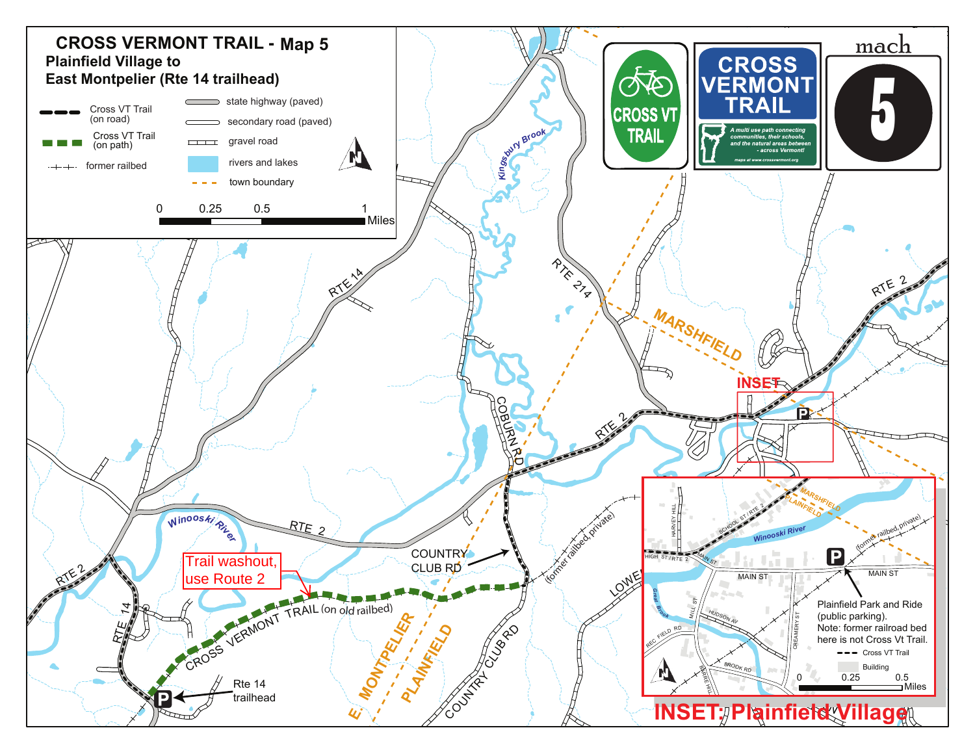